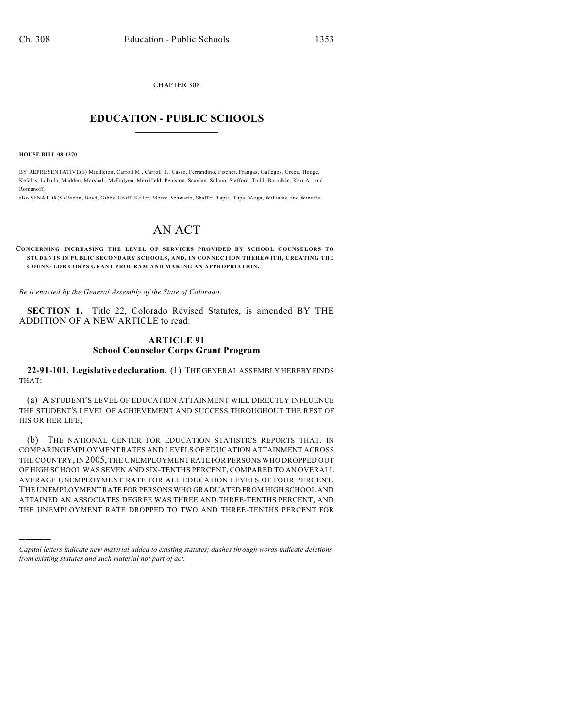CHAPTER 308  $\mathcal{L}_\text{max}$  . The set of the set of the set of the set of the set of the set of the set of the set of the set of the set of the set of the set of the set of the set of the set of the set of the set of the set of the set

## **EDUCATION - PUBLIC SCHOOLS**  $\_$   $\_$   $\_$   $\_$   $\_$   $\_$   $\_$   $\_$   $\_$

**HOUSE BILL 08-1370**

)))))

BY REPRESENTATIVE(S) Middleton, Carroll M., Carroll T., Casso, Ferrandino, Fischer, Frangas, Gallegos, Green, Hodge, Kefalas, Labuda, Madden, Marshall, McFadyen, Merrifield, Peniston, Scanlan, Solano, Stafford, Todd, Borodkin, Kerr A., and Romanoff;

also SENATOR(S) Bacon, Boyd, Gibbs, Groff, Keller, Morse, Schwartz, Shaffer, Tapia, Tupa, Veiga, Williams, and Windels.

## AN ACT

**CONCERNING INCREASING THE LEVEL OF SERVICES PROVIDED BY SCHOOL COUNSELORS TO STUDENTS IN PUBLIC SECONDARY SCHOOLS, AND, IN CONNECTION THEREWITH, CREATING THE COUNSELOR CORPS GRANT PROGRAM AND MAKING AN APPROPRIATION.**

*Be it enacted by the General Assembly of the State of Colorado:*

**SECTION 1.** Title 22, Colorado Revised Statutes, is amended BY THE ADDITION OF A NEW ARTICLE to read:

## **ARTICLE 91 School Counselor Corps Grant Program**

**22-91-101. Legislative declaration.** (1) THE GENERAL ASSEMBLY HEREBY FINDS THAT:

(a) A STUDENT'S LEVEL OF EDUCATION ATTAINMENT WILL DIRECTLY INFLUENCE THE STUDENT'S LEVEL OF ACHIEVEMENT AND SUCCESS THROUGHOUT THE REST OF HIS OR HER LIFE;

(b) THE NATIONAL CENTER FOR EDUCATION STATISTICS REPORTS THAT, IN COMPARING EMPLOYMENT RATES AND LEVELS OF EDUCATION ATTAINMENT ACROSS THE COUNTRY, IN 2005, THE UNEMPLOYMENT RATE FOR PERSONS WHO DROPPED OUT OF HIGH SCHOOL WAS SEVEN AND SIX-TENTHS PERCENT, COMPARED TO AN OVERALL AVERAGE UNEMPLOYMENT RATE FOR ALL EDUCATION LEVELS OF FOUR PERCENT. THE UNEMPLOYMENT RATE FOR PERSONS WHO GRADUATED FROM HIGH SCHOOL AND ATTAINED AN ASSOCIATES DEGREE WAS THREE AND THREE-TENTHS PERCENT, AND THE UNEMPLOYMENT RATE DROPPED TO TWO AND THREE-TENTHS PERCENT FOR

*Capital letters indicate new material added to existing statutes; dashes through words indicate deletions from existing statutes and such material not part of act.*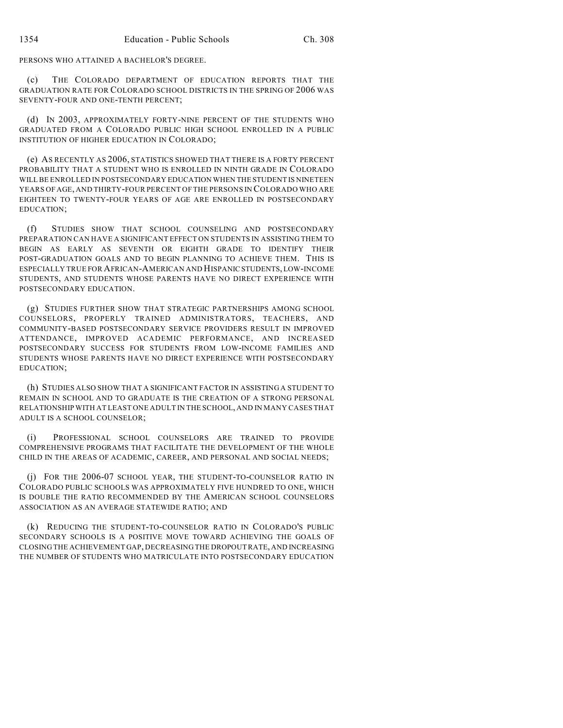PERSONS WHO ATTAINED A BACHELOR'S DEGREE.

(c) THE COLORADO DEPARTMENT OF EDUCATION REPORTS THAT THE GRADUATION RATE FOR COLORADO SCHOOL DISTRICTS IN THE SPRING OF 2006 WAS SEVENTY-FOUR AND ONE-TENTH PERCENT;

(d) IN 2003, APPROXIMATELY FORTY-NINE PERCENT OF THE STUDENTS WHO GRADUATED FROM A COLORADO PUBLIC HIGH SCHOOL ENROLLED IN A PUBLIC INSTITUTION OF HIGHER EDUCATION IN COLORADO;

(e) AS RECENTLY AS 2006, STATISTICS SHOWED THAT THERE IS A FORTY PERCENT PROBABILITY THAT A STUDENT WHO IS ENROLLED IN NINTH GRADE IN COLORADO WILL BE ENROLLED IN POSTSECONDARY EDUCATION WHEN THE STUDENT IS NINETEEN YEARS OF AGE, AND THIRTY-FOUR PERCENT OF THE PERSONS IN COLORADO WHO ARE EIGHTEEN TO TWENTY-FOUR YEARS OF AGE ARE ENROLLED IN POSTSECONDARY EDUCATION;

(f) STUDIES SHOW THAT SCHOOL COUNSELING AND POSTSECONDARY PREPARATION CAN HAVE A SIGNIFICANT EFFECT ON STUDENTS IN ASSISTING THEM TO BEGIN AS EARLY AS SEVENTH OR EIGHTH GRADE TO IDENTIFY THEIR POST-GRADUATION GOALS AND TO BEGIN PLANNING TO ACHIEVE THEM. THIS IS ESPECIALLY TRUE FOR AFRICAN-AMERICAN AND HISPANIC STUDENTS, LOW-INCOME STUDENTS, AND STUDENTS WHOSE PARENTS HAVE NO DIRECT EXPERIENCE WITH POSTSECONDARY EDUCATION.

(g) STUDIES FURTHER SHOW THAT STRATEGIC PARTNERSHIPS AMONG SCHOOL COUNSELORS, PROPERLY TRAINED ADMINISTRATORS, TEACHERS, AND COMMUNITY-BASED POSTSECONDARY SERVICE PROVIDERS RESULT IN IMPROVED ATTENDANCE, IMPROVED ACADEMIC PERFORMANCE, AND INCREASED POSTSECONDARY SUCCESS FOR STUDENTS FROM LOW-INCOME FAMILIES AND STUDENTS WHOSE PARENTS HAVE NO DIRECT EXPERIENCE WITH POSTSECONDARY EDUCATION;

(h) STUDIES ALSO SHOW THAT A SIGNIFICANT FACTOR IN ASSISTING A STUDENT TO REMAIN IN SCHOOL AND TO GRADUATE IS THE CREATION OF A STRONG PERSONAL RELATIONSHIP WITH AT LEAST ONE ADULT IN THE SCHOOL, AND IN MANY CASES THAT ADULT IS A SCHOOL COUNSELOR;

(i) PROFESSIONAL SCHOOL COUNSELORS ARE TRAINED TO PROVIDE COMPREHENSIVE PROGRAMS THAT FACILITATE THE DEVELOPMENT OF THE WHOLE CHILD IN THE AREAS OF ACADEMIC, CAREER, AND PERSONAL AND SOCIAL NEEDS;

(j) FOR THE 2006-07 SCHOOL YEAR, THE STUDENT-TO-COUNSELOR RATIO IN COLORADO PUBLIC SCHOOLS WAS APPROXIMATELY FIVE HUNDRED TO ONE, WHICH IS DOUBLE THE RATIO RECOMMENDED BY THE AMERICAN SCHOOL COUNSELORS ASSOCIATION AS AN AVERAGE STATEWIDE RATIO; AND

(k) REDUCING THE STUDENT-TO-COUNSELOR RATIO IN COLORADO'S PUBLIC SECONDARY SCHOOLS IS A POSITIVE MOVE TOWARD ACHIEVING THE GOALS OF CLOSING THE ACHIEVEMENT GAP, DECREASING THE DROPOUT RATE, AND INCREASING THE NUMBER OF STUDENTS WHO MATRICULATE INTO POSTSECONDARY EDUCATION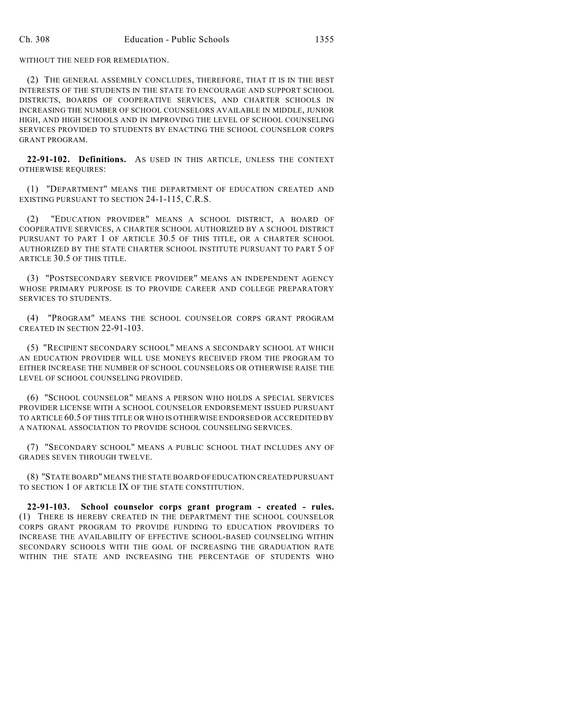WITHOUT THE NEED FOR REMEDIATION.

(2) THE GENERAL ASSEMBLY CONCLUDES, THEREFORE, THAT IT IS IN THE BEST INTERESTS OF THE STUDENTS IN THE STATE TO ENCOURAGE AND SUPPORT SCHOOL DISTRICTS, BOARDS OF COOPERATIVE SERVICES, AND CHARTER SCHOOLS IN INCREASING THE NUMBER OF SCHOOL COUNSELORS AVAILABLE IN MIDDLE, JUNIOR HIGH, AND HIGH SCHOOLS AND IN IMPROVING THE LEVEL OF SCHOOL COUNSELING SERVICES PROVIDED TO STUDENTS BY ENACTING THE SCHOOL COUNSELOR CORPS GRANT PROGRAM.

**22-91-102. Definitions.** AS USED IN THIS ARTICLE, UNLESS THE CONTEXT OTHERWISE REQUIRES:

(1) "DEPARTMENT" MEANS THE DEPARTMENT OF EDUCATION CREATED AND EXISTING PURSUANT TO SECTION 24-1-115, C.R.S.

(2) "EDUCATION PROVIDER" MEANS A SCHOOL DISTRICT, A BOARD OF COOPERATIVE SERVICES, A CHARTER SCHOOL AUTHORIZED BY A SCHOOL DISTRICT PURSUANT TO PART 1 OF ARTICLE 30.5 OF THIS TITLE, OR A CHARTER SCHOOL AUTHORIZED BY THE STATE CHARTER SCHOOL INSTITUTE PURSUANT TO PART 5 OF ARTICLE 30.5 OF THIS TITLE.

(3) "POSTSECONDARY SERVICE PROVIDER" MEANS AN INDEPENDENT AGENCY WHOSE PRIMARY PURPOSE IS TO PROVIDE CAREER AND COLLEGE PREPARATORY SERVICES TO STUDENTS.

(4) "PROGRAM" MEANS THE SCHOOL COUNSELOR CORPS GRANT PROGRAM CREATED IN SECTION 22-91-103.

(5) "RECIPIENT SECONDARY SCHOOL" MEANS A SECONDARY SCHOOL AT WHICH AN EDUCATION PROVIDER WILL USE MONEYS RECEIVED FROM THE PROGRAM TO EITHER INCREASE THE NUMBER OF SCHOOL COUNSELORS OR OTHERWISE RAISE THE LEVEL OF SCHOOL COUNSELING PROVIDED.

(6) "SCHOOL COUNSELOR" MEANS A PERSON WHO HOLDS A SPECIAL SERVICES PROVIDER LICENSE WITH A SCHOOL COUNSELOR ENDORSEMENT ISSUED PURSUANT TO ARTICLE 60.5 OF THIS TITLE OR WHO IS OTHERWISE ENDORSED OR ACCREDITED BY A NATIONAL ASSOCIATION TO PROVIDE SCHOOL COUNSELING SERVICES.

(7) "SECONDARY SCHOOL" MEANS A PUBLIC SCHOOL THAT INCLUDES ANY OF GRADES SEVEN THROUGH TWELVE.

(8) "STATE BOARD" MEANS THE STATE BOARD OF EDUCATION CREATED PURSUANT TO SECTION 1 OF ARTICLE IX OF THE STATE CONSTITUTION.

**22-91-103. School counselor corps grant program - created - rules.** (1) THERE IS HEREBY CREATED IN THE DEPARTMENT THE SCHOOL COUNSELOR CORPS GRANT PROGRAM TO PROVIDE FUNDING TO EDUCATION PROVIDERS TO INCREASE THE AVAILABILITY OF EFFECTIVE SCHOOL-BASED COUNSELING WITHIN SECONDARY SCHOOLS WITH THE GOAL OF INCREASING THE GRADUATION RATE WITHIN THE STATE AND INCREASING THE PERCENTAGE OF STUDENTS WHO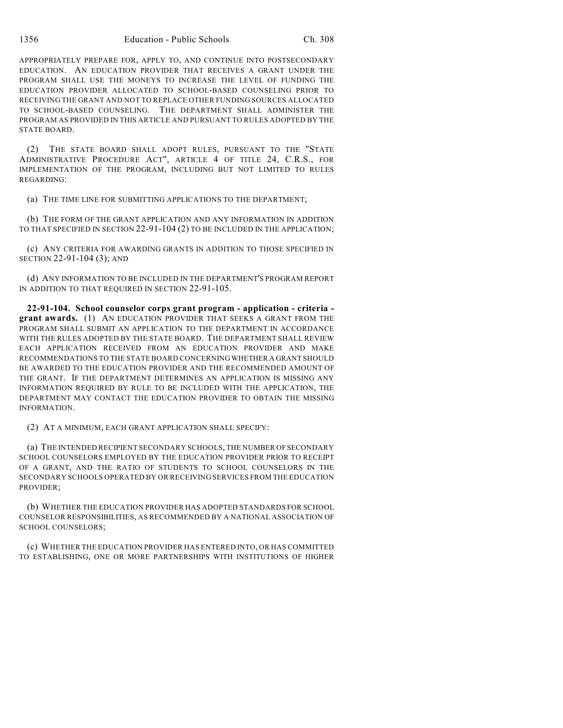APPROPRIATELY PREPARE FOR, APPLY TO, AND CONTINUE INTO POSTSECONDARY EDUCATION. AN EDUCATION PROVIDER THAT RECEIVES A GRANT UNDER THE PROGRAM SHALL USE THE MONEYS TO INCREASE THE LEVEL OF FUNDING THE EDUCATION PROVIDER ALLOCATED TO SCHOOL-BASED COUNSELING PRIOR TO RECEIVING THE GRANT AND NOT TO REPLACE OTHER FUNDING SOURCES ALLOCATED TO SCHOOL-BASED COUNSELING. THE DEPARTMENT SHALL ADMINISTER THE PROGRAM AS PROVIDED IN THIS ARTICLE AND PURSUANT TO RULES ADOPTED BY THE STATE BOARD.

(2) THE STATE BOARD SHALL ADOPT RULES, PURSUANT TO THE "STATE ADMINISTRATIVE PROCEDURE ACT", ARTICLE 4 OF TITLE 24, C.R.S., FOR IMPLEMENTATION OF THE PROGRAM, INCLUDING BUT NOT LIMITED TO RULES REGARDING:

(a) THE TIME LINE FOR SUBMITTING APPLICATIONS TO THE DEPARTMENT;

(b) THE FORM OF THE GRANT APPLICATION AND ANY INFORMATION IN ADDITION TO THAT SPECIFIED IN SECTION 22-91-104 (2) TO BE INCLUDED IN THE APPLICATION;

(c) ANY CRITERIA FOR AWARDING GRANTS IN ADDITION TO THOSE SPECIFIED IN SECTION 22-91-104 (3); AND

(d) ANY INFORMATION TO BE INCLUDED IN THE DEPARTMENT'S PROGRAM REPORT IN ADDITION TO THAT REQUIRED IN SECTION 22-91-105.

**22-91-104. School counselor corps grant program - application - criteria grant awards.** (1) AN EDUCATION PROVIDER THAT SEEKS A GRANT FROM THE PROGRAM SHALL SUBMIT AN APPLICATION TO THE DEPARTMENT IN ACCORDANCE WITH THE RULES ADOPTED BY THE STATE BOARD. THE DEPARTMENT SHALL REVIEW EACH APPLICATION RECEIVED FROM AN EDUCATION PROVIDER AND MAKE RECOMMENDATIONS TO THE STATE BOARD CONCERNING WHETHER A GRANT SHOULD BE AWARDED TO THE EDUCATION PROVIDER AND THE RECOMMENDED AMOUNT OF THE GRANT. IF THE DEPARTMENT DETERMINES AN APPLICATION IS MISSING ANY INFORMATION REQUIRED BY RULE TO BE INCLUDED WITH THE APPLICATION, THE DEPARTMENT MAY CONTACT THE EDUCATION PROVIDER TO OBTAIN THE MISSING INFORMATION.

(2) AT A MINIMUM, EACH GRANT APPLICATION SHALL SPECIFY:

(a) THE INTENDED RECIPIENT SECONDARY SCHOOLS, THE NUMBER OF SECONDARY SCHOOL COUNSELORS EMPLOYED BY THE EDUCATION PROVIDER PRIOR TO RECEIPT OF A GRANT, AND THE RATIO OF STUDENTS TO SCHOOL COUNSELORS IN THE SECONDARY SCHOOLS OPERATED BY OR RECEIVING SERVICES FROM THE EDUCATION PROVIDER;

(b) WHETHER THE EDUCATION PROVIDER HAS ADOPTED STANDARDS FOR SCHOOL COUNSELOR RESPONSIBILITIES, AS RECOMMENDED BY A NATIONAL ASSOCIATION OF SCHOOL COUNSELORS;

(c) WHETHER THE EDUCATION PROVIDER HAS ENTERED INTO, OR HAS COMMITTED TO ESTABLISHING, ONE OR MORE PARTNERSHIPS WITH INSTITUTIONS OF HIGHER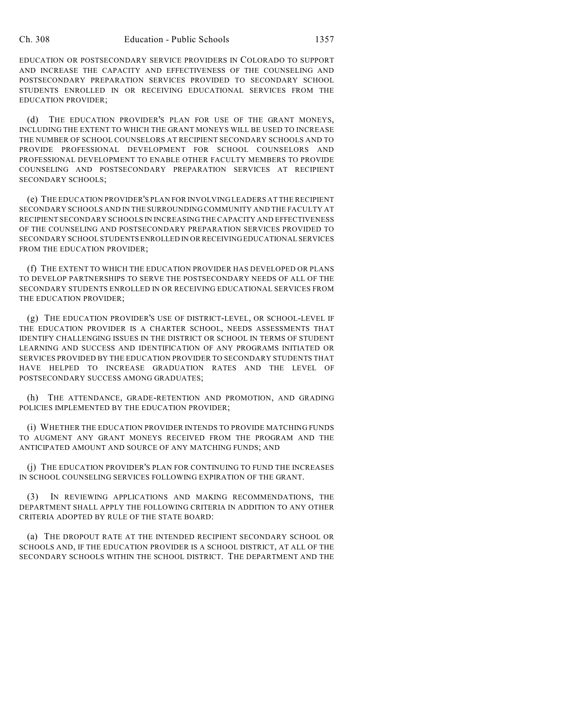EDUCATION OR POSTSECONDARY SERVICE PROVIDERS IN COLORADO TO SUPPORT AND INCREASE THE CAPACITY AND EFFECTIVENESS OF THE COUNSELING AND POSTSECONDARY PREPARATION SERVICES PROVIDED TO SECONDARY SCHOOL STUDENTS ENROLLED IN OR RECEIVING EDUCATIONAL SERVICES FROM THE EDUCATION PROVIDER;

(d) THE EDUCATION PROVIDER'S PLAN FOR USE OF THE GRANT MONEYS, INCLUDING THE EXTENT TO WHICH THE GRANT MONEYS WILL BE USED TO INCREASE THE NUMBER OF SCHOOL COUNSELORS AT RECIPIENT SECONDARY SCHOOLS AND TO PROVIDE PROFESSIONAL DEVELOPMENT FOR SCHOOL COUNSELORS AND PROFESSIONAL DEVELOPMENT TO ENABLE OTHER FACULTY MEMBERS TO PROVIDE COUNSELING AND POSTSECONDARY PREPARATION SERVICES AT RECIPIENT SECONDARY SCHOOLS;

(e) THE EDUCATION PROVIDER'S PLAN FOR INVOLVING LEADERS AT THE RECIPIENT SECONDARY SCHOOLS AND IN THE SURROUNDING COMMUNITY AND THE FACULTY AT RECIPIENT SECONDARY SCHOOLS IN INCREASING THE CAPACITY AND EFFECTIVENESS OF THE COUNSELING AND POSTSECONDARY PREPARATION SERVICES PROVIDED TO SECONDARY SCHOOL STUDENTS ENROLLED IN OR RECEIVING EDUCATIONAL SERVICES FROM THE EDUCATION PROVIDER;

(f) THE EXTENT TO WHICH THE EDUCATION PROVIDER HAS DEVELOPED OR PLANS TO DEVELOP PARTNERSHIPS TO SERVE THE POSTSECONDARY NEEDS OF ALL OF THE SECONDARY STUDENTS ENROLLED IN OR RECEIVING EDUCATIONAL SERVICES FROM THE EDUCATION PROVIDER;

(g) THE EDUCATION PROVIDER'S USE OF DISTRICT-LEVEL, OR SCHOOL-LEVEL IF THE EDUCATION PROVIDER IS A CHARTER SCHOOL, NEEDS ASSESSMENTS THAT IDENTIFY CHALLENGING ISSUES IN THE DISTRICT OR SCHOOL IN TERMS OF STUDENT LEARNING AND SUCCESS AND IDENTIFICATION OF ANY PROGRAMS INITIATED OR SERVICES PROVIDED BY THE EDUCATION PROVIDER TO SECONDARY STUDENTS THAT HAVE HELPED TO INCREASE GRADUATION RATES AND THE LEVEL OF POSTSECONDARY SUCCESS AMONG GRADUATES;

(h) THE ATTENDANCE, GRADE-RETENTION AND PROMOTION, AND GRADING POLICIES IMPLEMENTED BY THE EDUCATION PROVIDER;

(i) WHETHER THE EDUCATION PROVIDER INTENDS TO PROVIDE MATCHING FUNDS TO AUGMENT ANY GRANT MONEYS RECEIVED FROM THE PROGRAM AND THE ANTICIPATED AMOUNT AND SOURCE OF ANY MATCHING FUNDS; AND

(j) THE EDUCATION PROVIDER'S PLAN FOR CONTINUING TO FUND THE INCREASES IN SCHOOL COUNSELING SERVICES FOLLOWING EXPIRATION OF THE GRANT.

(3) IN REVIEWING APPLICATIONS AND MAKING RECOMMENDATIONS, THE DEPARTMENT SHALL APPLY THE FOLLOWING CRITERIA IN ADDITION TO ANY OTHER CRITERIA ADOPTED BY RULE OF THE STATE BOARD:

(a) THE DROPOUT RATE AT THE INTENDED RECIPIENT SECONDARY SCHOOL OR SCHOOLS AND, IF THE EDUCATION PROVIDER IS A SCHOOL DISTRICT, AT ALL OF THE SECONDARY SCHOOLS WITHIN THE SCHOOL DISTRICT. THE DEPARTMENT AND THE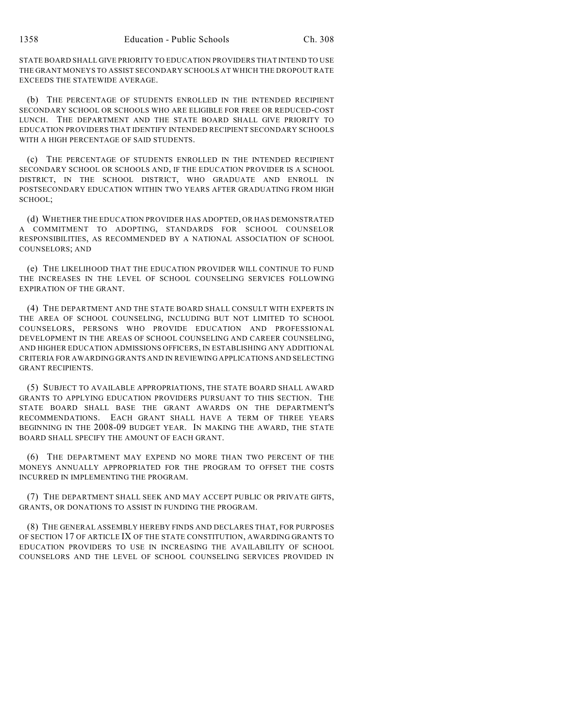STATE BOARD SHALL GIVE PRIORITY TO EDUCATION PROVIDERS THAT INTEND TO USE THE GRANT MONEYS TO ASSIST SECONDARY SCHOOLS AT WHICH THE DROPOUT RATE EXCEEDS THE STATEWIDE AVERAGE.

(b) THE PERCENTAGE OF STUDENTS ENROLLED IN THE INTENDED RECIPIENT SECONDARY SCHOOL OR SCHOOLS WHO ARE ELIGIBLE FOR FREE OR REDUCED-COST LUNCH. THE DEPARTMENT AND THE STATE BOARD SHALL GIVE PRIORITY TO EDUCATION PROVIDERS THAT IDENTIFY INTENDED RECIPIENT SECONDARY SCHOOLS WITH A HIGH PERCENTAGE OF SAID STUDENTS.

(c) THE PERCENTAGE OF STUDENTS ENROLLED IN THE INTENDED RECIPIENT SECONDARY SCHOOL OR SCHOOLS AND, IF THE EDUCATION PROVIDER IS A SCHOOL DISTRICT, IN THE SCHOOL DISTRICT, WHO GRADUATE AND ENROLL IN POSTSECONDARY EDUCATION WITHIN TWO YEARS AFTER GRADUATING FROM HIGH SCHOOL;

(d) WHETHER THE EDUCATION PROVIDER HAS ADOPTED, OR HAS DEMONSTRATED A COMMITMENT TO ADOPTING, STANDARDS FOR SCHOOL COUNSELOR RESPONSIBILITIES, AS RECOMMENDED BY A NATIONAL ASSOCIATION OF SCHOOL COUNSELORS; AND

(e) THE LIKELIHOOD THAT THE EDUCATION PROVIDER WILL CONTINUE TO FUND THE INCREASES IN THE LEVEL OF SCHOOL COUNSELING SERVICES FOLLOWING EXPIRATION OF THE GRANT.

(4) THE DEPARTMENT AND THE STATE BOARD SHALL CONSULT WITH EXPERTS IN THE AREA OF SCHOOL COUNSELING, INCLUDING BUT NOT LIMITED TO SCHOOL COUNSELORS, PERSONS WHO PROVIDE EDUCATION AND PROFESSIONAL DEVELOPMENT IN THE AREAS OF SCHOOL COUNSELING AND CAREER COUNSELING, AND HIGHER EDUCATION ADMISSIONS OFFICERS, IN ESTABLISHING ANY ADDITIONAL CRITERIA FOR AWARDING GRANTS AND IN REVIEWING APPLICATIONS AND SELECTING GRANT RECIPIENTS.

(5) SUBJECT TO AVAILABLE APPROPRIATIONS, THE STATE BOARD SHALL AWARD GRANTS TO APPLYING EDUCATION PROVIDERS PURSUANT TO THIS SECTION. THE STATE BOARD SHALL BASE THE GRANT AWARDS ON THE DEPARTMENT'S RECOMMENDATIONS. EACH GRANT SHALL HAVE A TERM OF THREE YEARS BEGINNING IN THE 2008-09 BUDGET YEAR. IN MAKING THE AWARD, THE STATE BOARD SHALL SPECIFY THE AMOUNT OF EACH GRANT.

(6) THE DEPARTMENT MAY EXPEND NO MORE THAN TWO PERCENT OF THE MONEYS ANNUALLY APPROPRIATED FOR THE PROGRAM TO OFFSET THE COSTS INCURRED IN IMPLEMENTING THE PROGRAM.

(7) THE DEPARTMENT SHALL SEEK AND MAY ACCEPT PUBLIC OR PRIVATE GIFTS, GRANTS, OR DONATIONS TO ASSIST IN FUNDING THE PROGRAM.

(8) THE GENERAL ASSEMBLY HEREBY FINDS AND DECLARES THAT, FOR PURPOSES OF SECTION 17 OF ARTICLE IX OF THE STATE CONSTITUTION, AWARDING GRANTS TO EDUCATION PROVIDERS TO USE IN INCREASING THE AVAILABILITY OF SCHOOL COUNSELORS AND THE LEVEL OF SCHOOL COUNSELING SERVICES PROVIDED IN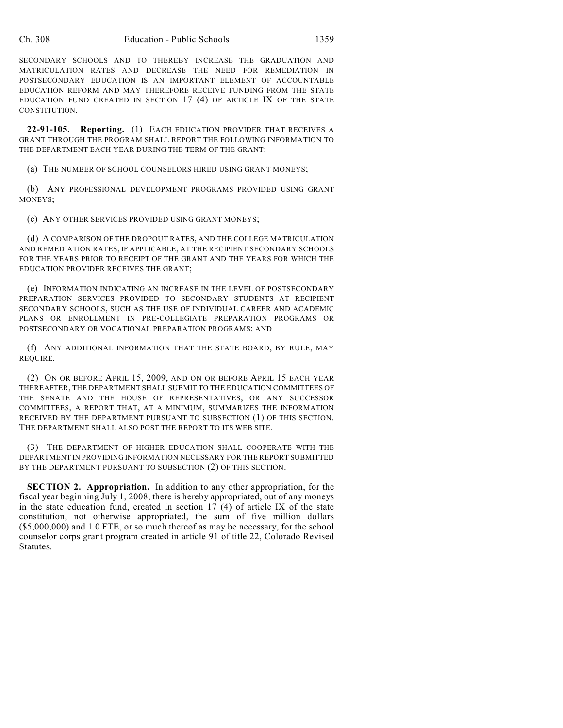SECONDARY SCHOOLS AND TO THEREBY INCREASE THE GRADUATION AND MATRICULATION RATES AND DECREASE THE NEED FOR REMEDIATION IN POSTSECONDARY EDUCATION IS AN IMPORTANT ELEMENT OF ACCOUNTABLE EDUCATION REFORM AND MAY THEREFORE RECEIVE FUNDING FROM THE STATE EDUCATION FUND CREATED IN SECTION 17 (4) OF ARTICLE IX OF THE STATE CONSTITUTION.

**22-91-105. Reporting.** (1) EACH EDUCATION PROVIDER THAT RECEIVES A GRANT THROUGH THE PROGRAM SHALL REPORT THE FOLLOWING INFORMATION TO THE DEPARTMENT EACH YEAR DURING THE TERM OF THE GRANT:

(a) THE NUMBER OF SCHOOL COUNSELORS HIRED USING GRANT MONEYS;

(b) ANY PROFESSIONAL DEVELOPMENT PROGRAMS PROVIDED USING GRANT MONEYS;

(c) ANY OTHER SERVICES PROVIDED USING GRANT MONEYS;

(d) A COMPARISON OF THE DROPOUT RATES, AND THE COLLEGE MATRICULATION AND REMEDIATION RATES, IF APPLICABLE, AT THE RECIPIENT SECONDARY SCHOOLS FOR THE YEARS PRIOR TO RECEIPT OF THE GRANT AND THE YEARS FOR WHICH THE EDUCATION PROVIDER RECEIVES THE GRANT;

(e) INFORMATION INDICATING AN INCREASE IN THE LEVEL OF POSTSECONDARY PREPARATION SERVICES PROVIDED TO SECONDARY STUDENTS AT RECIPIENT SECONDARY SCHOOLS, SUCH AS THE USE OF INDIVIDUAL CAREER AND ACADEMIC PLANS OR ENROLLMENT IN PRE-COLLEGIATE PREPARATION PROGRAMS OR POSTSECONDARY OR VOCATIONAL PREPARATION PROGRAMS; AND

(f) ANY ADDITIONAL INFORMATION THAT THE STATE BOARD, BY RULE, MAY REQUIRE.

(2) ON OR BEFORE APRIL 15, 2009, AND ON OR BEFORE APRIL 15 EACH YEAR THEREAFTER, THE DEPARTMENT SHALL SUBMIT TO THE EDUCATION COMMITTEES OF THE SENATE AND THE HOUSE OF REPRESENTATIVES, OR ANY SUCCESSOR COMMITTEES, A REPORT THAT, AT A MINIMUM, SUMMARIZES THE INFORMATION RECEIVED BY THE DEPARTMENT PURSUANT TO SUBSECTION (1) OF THIS SECTION. THE DEPARTMENT SHALL ALSO POST THE REPORT TO ITS WEB SITE.

(3) THE DEPARTMENT OF HIGHER EDUCATION SHALL COOPERATE WITH THE DEPARTMENT IN PROVIDING INFORMATION NECESSARY FOR THE REPORT SUBMITTED BY THE DEPARTMENT PURSUANT TO SUBSECTION (2) OF THIS SECTION.

**SECTION 2. Appropriation.** In addition to any other appropriation, for the fiscal year beginning July 1, 2008, there is hereby appropriated, out of any moneys in the state education fund, created in section 17 (4) of article IX of the state constitution, not otherwise appropriated, the sum of five million dollars (\$5,000,000) and 1.0 FTE, or so much thereof as may be necessary, for the school counselor corps grant program created in article 91 of title 22, Colorado Revised Statutes.